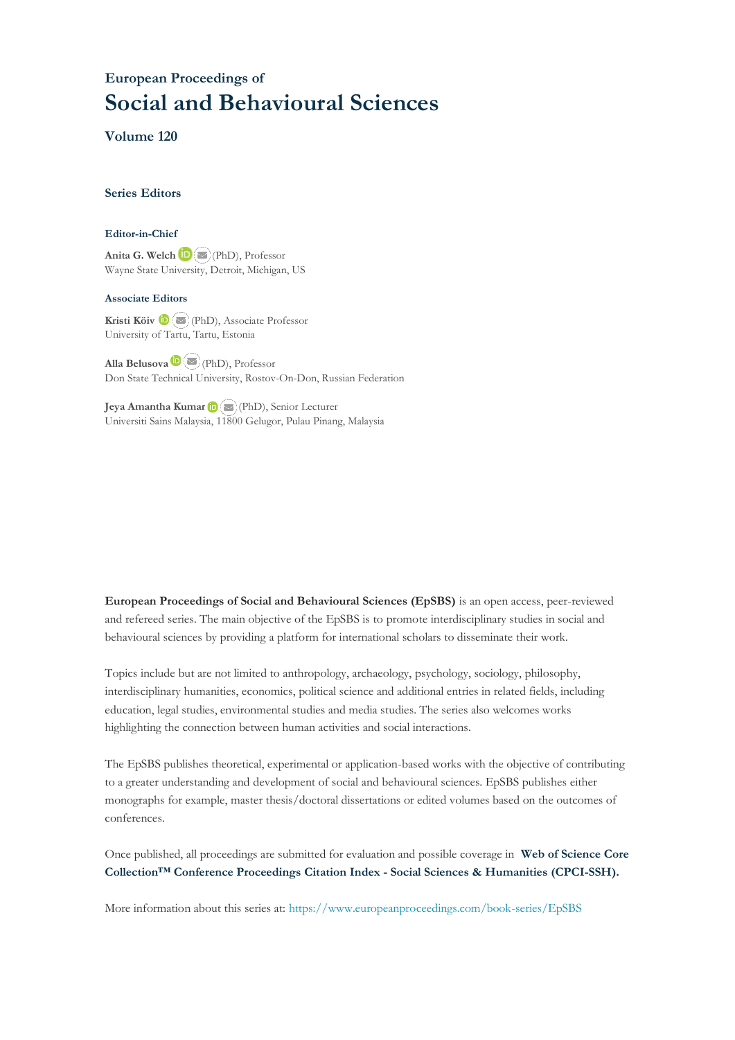## **European Proceedings of Social and Behavioural Sciences**

**Volume 120**

#### **Series Editors**

#### **Editor-in-Chief**

**Anita G. Welch** (PhD), Professor Wayne State University, Detroit, Michigan, US

#### **Associate Editors**

**Kristi Köiv** (PhD), Associate Professor University of Tartu, Tartu, Estonia

**Alla Belusova**(PhD), Professor Don State Technical University, Rostov-On-Don, Russian Federation

**Jeya Amantha Kumar**(PhD), Senior Lecturer Universiti Sains Malaysia, [1180](mailto:amantha@usm.my)0 Gelugor, Pulau Pinang, Malaysia

**European Proceedings of Social and Behavioural Sciences (EpSBS)** is an open access, peer-reviewed and refereed series. The main objective of the EpSBS is to promote interdisciplinary studies in social and behavioural sciences by providing a platform for international scholars to disseminate their work.

Topics include but are not limited to anthropology, archaeology, psychology, sociology, philosophy, interdisciplinary humanities, economics, political science and additional entries in related fields, including education, legal studies, environmental studies and media studies. The series also welcomes works highlighting the connection between human activities and social interactions.

The EpSBS publishes theoretical, experimental or application-based works with the objective of contributing to a greater understanding and development of social and behavioural sciences. EpSBS publishes either monographs for example, master thesis/doctoral dissertations or edited volumes based on the outcomes of conferences.

Once published, all proceedings are submitted for evaluation and possible coverage in **Web of [Science](https://clarivate.com/webofsciencegroup/solutions/webofscience-cpci/) Core Collection™ Conference Proceedings Citation Index - Social Sciences & Humanities [\(CPCI-SSH\).](https://clarivate.com/webofsciencegroup/solutions/webofscience-cpci/)**

More information about this series at[: https://www.europeanproceedings.com/book-series/EpSBS](https://www.europeanproceedings.com/book-series/EpSBS)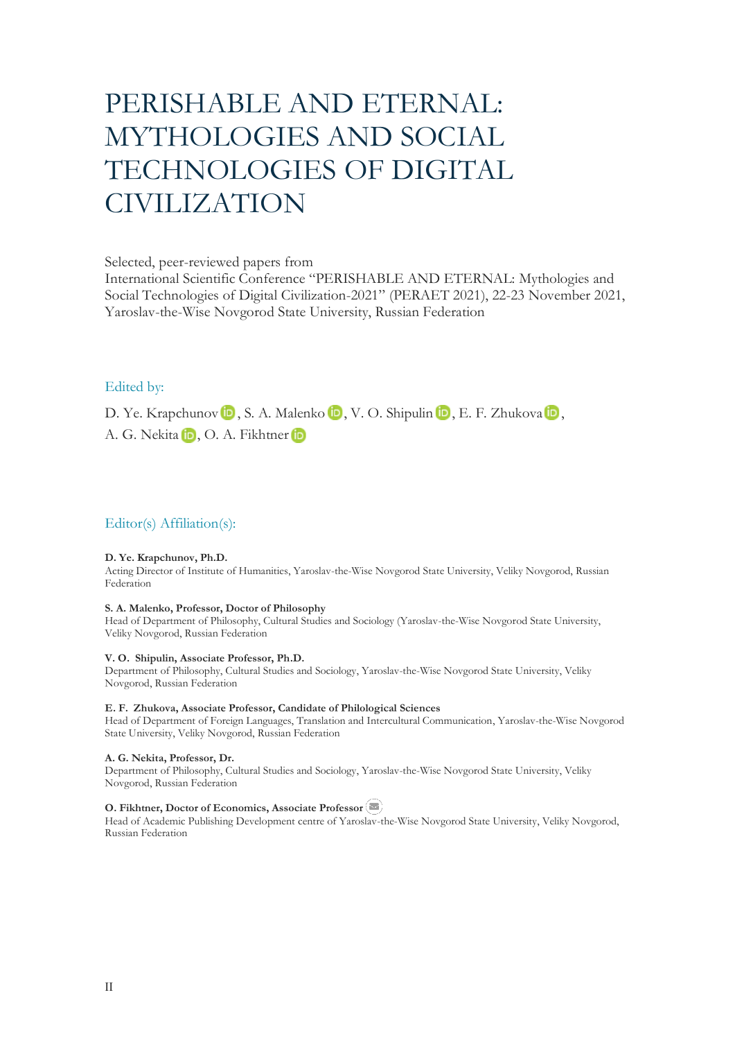# PERISHABLE AND ETERNAL: MYTHOLOGIES AND SOCIAL TECHNOLOGIES OF DIGITAL CIVILIZATION

Selected, peer-reviewed papers from

International Scientific Conference "PERISHABLE AND ETERNAL: Mythologies and Social Technologies of Digital Civilization-2021" (PERAET 2021), 22-23 November 2021, Yaroslav-the-Wise Novgorod State University, Russian Federation

#### Edited by:

D.Ye. Krapchunov **D**, S. A. Malenko **D**, V. O. Shipulin **D**, E. F. Zhukova **D**, A.G. Nekita iD, O. A. Fikhtner iD

#### Editor(s) Affiliation(s):

#### **D. Ye. Krapchunov, Ph.D.**

Acting Director of Institute of Humanities, Yaroslav-the-Wise Novgorod State University, Veliky Novgorod, Russian Federation

#### **S. A. Malenko, Professor, Doctor of Philosophy**

Head of Department of Philosophy, Cultural Studies and Sociology (Yaroslav-the-Wise Novgorod State University, Veliky Novgorod, Russian Federation

#### **V. O. Shipulin, Associate Professor, Ph.D.**

Department of Philosophy, Cultural Studies and Sociology, Yaroslav-the-Wise Novgorod State University, Veliky Novgorod, Russian Federation

#### **E. F. Zhukova, Associate Professor, Candidate of Philological Sciences**

Head of Department of Foreign Languages, Translation and Intercultural Communication, Yaroslav-the-Wise Novgorod State University, Veliky Novgorod, Russian Federation

#### **A. G. Nekita, Professor, Dr.**

Department of Philosophy, Cultural Studies and Sociology, Yaroslav-the-Wise Novgorod State University, Veliky Novgorod, Russian Federation

#### **O. Fikhtner, Doctor of Economics, Associate Professor**

Head of Academic Publishing Development centre of Yaroslav-the-Wise Novgorod State University, Veliky Novgorod, Russian Federation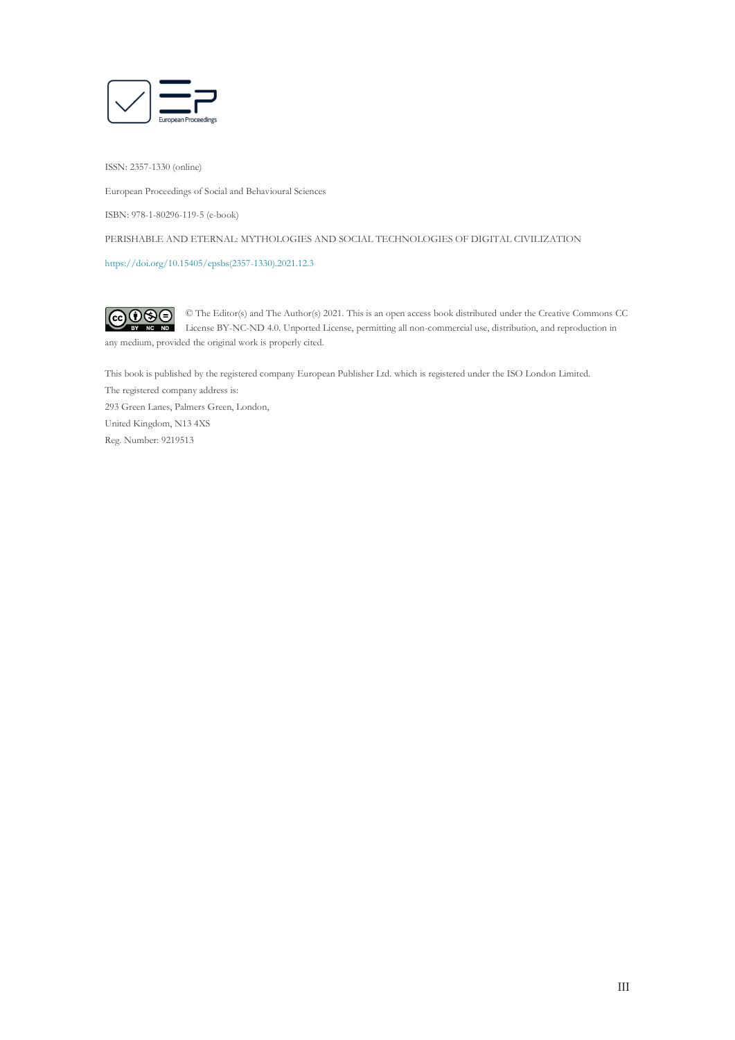

ISSN: 2357-1330 (online)

European Proceedings of Social and Behavioural Sciences

ISBN: 978-1-80296-119-5 (e-book)

PERISHABLE AND ETERNAL: MYTHOLOGIES AND SOCIAL TECHNOLOGIES OF DIGITAL CIVILIZATION

[https://doi.org/10.15405/epsbs\(2357-1330\).2021.12.3](https://doi.org/10.15405/epsbs(2357-1330).2021.12.3)

 $\overline{G}$   $\overline{O}$   $\overline{O}$ © The Editor(s) and The Author(s) 2021. This is an open access book distributed under the Creative Commons CC License BY-NC-ND 4.0. Unported License, permitting all non-commercial use, distribution, and reproduction in  $\overline{ND}$ any medium, provided the original work is properly cited.

This book is published by the registered company European Publisher Ltd. which is registered under the ISO London Limited. The registered company address is: 293 Green Lanes, Palmers Green, London, United Kingdom, N13 4XS Reg. Number: 9219513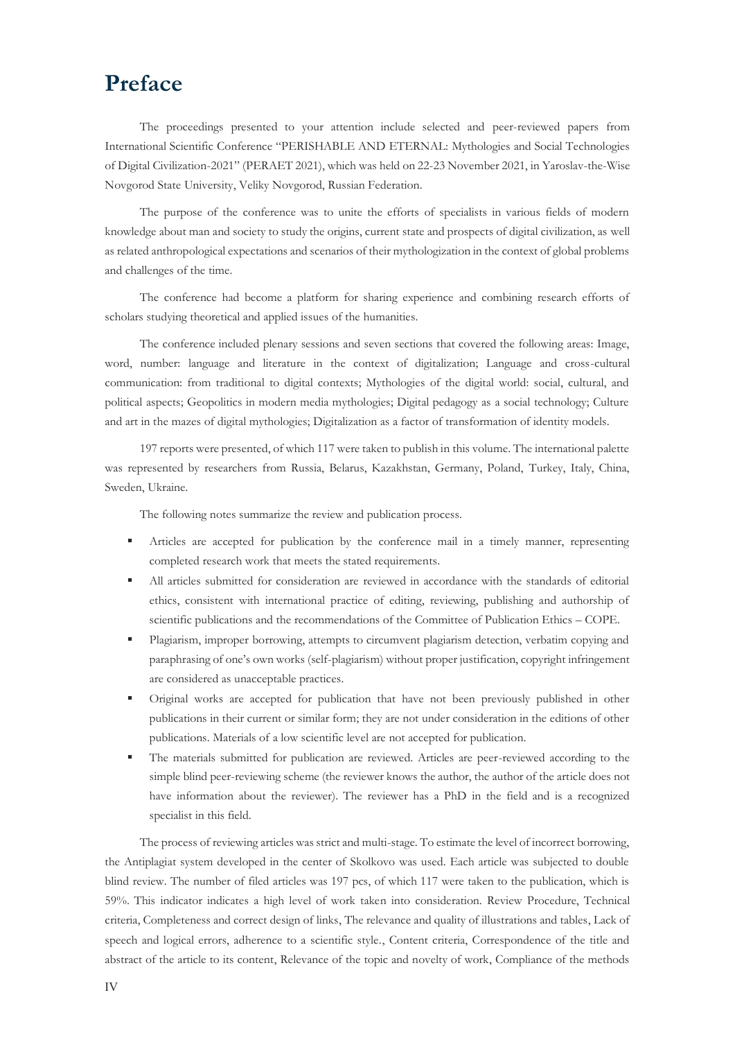## **Preface**

The proceedings presented to your attention include selected and peer-reviewed papers from International Scientific Conference "PERISHABLE AND ETERNAL: Mythologies and Social Technologies of Digital Civilization-2021" (PERAET 2021), which was held on 22-23 November 2021, in Yaroslav-the-Wise Novgorod State University, Veliky Novgorod, Russian Federation.

The purpose of the conference was to unite the efforts of specialists in various fields of modern knowledge about man and society to study the origins, current state and prospects of digital civilization, as well as related anthropological expectations and scenarios of their mythologization in the context of global problems and challenges of the time.

The conference had become a platform for sharing experience and combining research efforts of scholars studying theoretical and applied issues of the humanities.

The conference included plenary sessions and seven sections that covered the following areas: Image, word, number: language and literature in the context of digitalization; Language and cross-cultural communication: from traditional to digital contexts; Mythologies of the digital world: social, cultural, and political aspects; Geopolitics in modern media mythologies; Digital pedagogy as a social technology; Culture and art in the mazes of digital mythologies; Digitalization as a factor of transformation of identity models.

197 reports were presented, of which 117 were taken to publish in this volume. The international palette was represented by researchers from Russia, Belarus, Kazakhstan, Germany, Poland, Turkey, Italy, China, Sweden, Ukraine.

The following notes summarize the review and publication process.

- Articles are accepted for publication by the conference mail in a timely manner, representing completed research work that meets the stated requirements.
- All articles submitted for consideration are reviewed in accordance with the standards of editorial ethics, consistent with international practice of editing, reviewing, publishing and authorship of scientific publications and the recommendations of the Committee of Publication Ethics – COPE.
- Plagiarism, improper borrowing, attempts to circumvent plagiarism detection, verbatim copying and paraphrasing of one's own works (self-plagiarism) without proper justification, copyright infringement are considered as unacceptable practices.
- Original works are accepted for publication that have not been previously published in other publications in their current or similar form; they are not under consideration in the editions of other publications. Materials of a low scientific level are not accepted for publication.
- The materials submitted for publication are reviewed. Articles are peer-reviewed according to the simple blind peer-reviewing scheme (the reviewer knows the author, the author of the article does not have information about the reviewer). The reviewer has a PhD in the field and is a recognized specialist in this field.

The process of reviewing articles was strict and multi-stage. To estimate the level of incorrect borrowing, the Antiplagiat system developed in the center of Skolkovo was used. Each article was subjected to double blind review. The number of filed articles was 197 pcs, of which 117 were taken to the publication, which is 59%. This indicator indicates a high level of work taken into consideration. Review Procedure, Technical criteria, Completeness and correct design of links, The relevance and quality of illustrations and tables, Lack of speech and logical errors, adherence to a scientific style., Content criteria, Correspondence of the title and abstract of the article to its content, Relevance of the topic and novelty of work, Compliance of the methods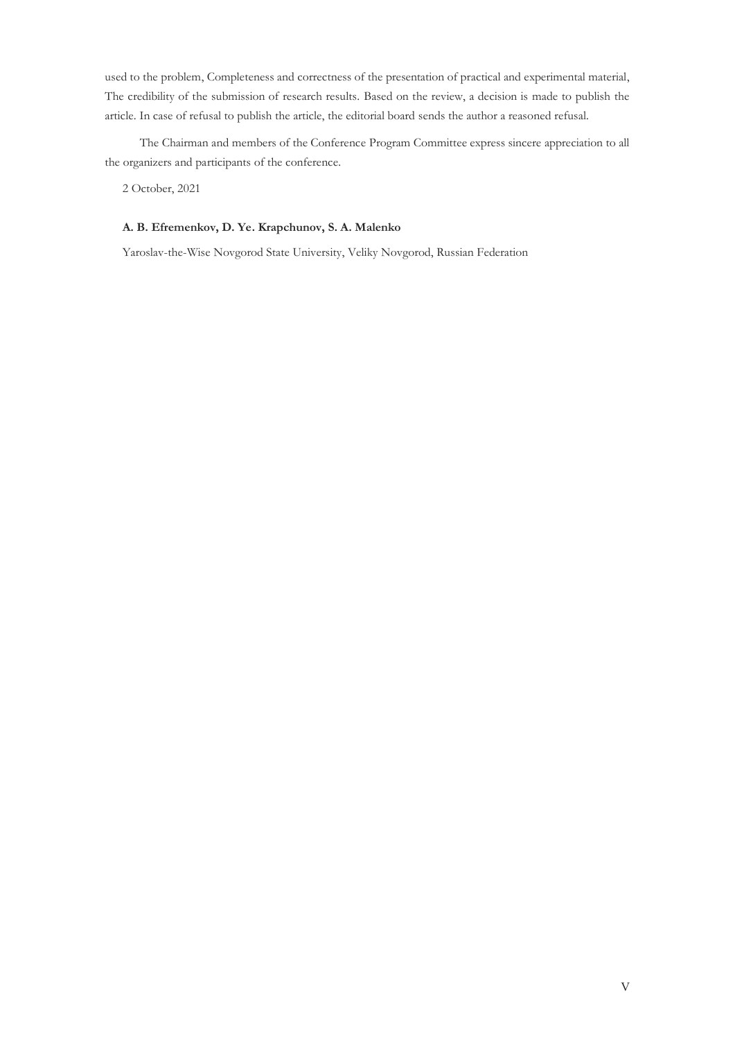used to the problem, Completeness and correctness of the presentation of practical and experimental material, The credibility of the submission of research results. Based on the review, a decision is made to publish the article. In case of refusal to publish the article, the editorial board sends the author a reasoned refusal.

The Chairman and members of the Conference Program Committee express sincere appreciation to all the organizers and participants of the conference.

2 October, 2021

#### **A. B. Efremenkov, D. Ye. Krapchunov, S. A. Malenko**

Yaroslav-the-Wise Novgorod State University, Veliky Novgorod, Russian Federation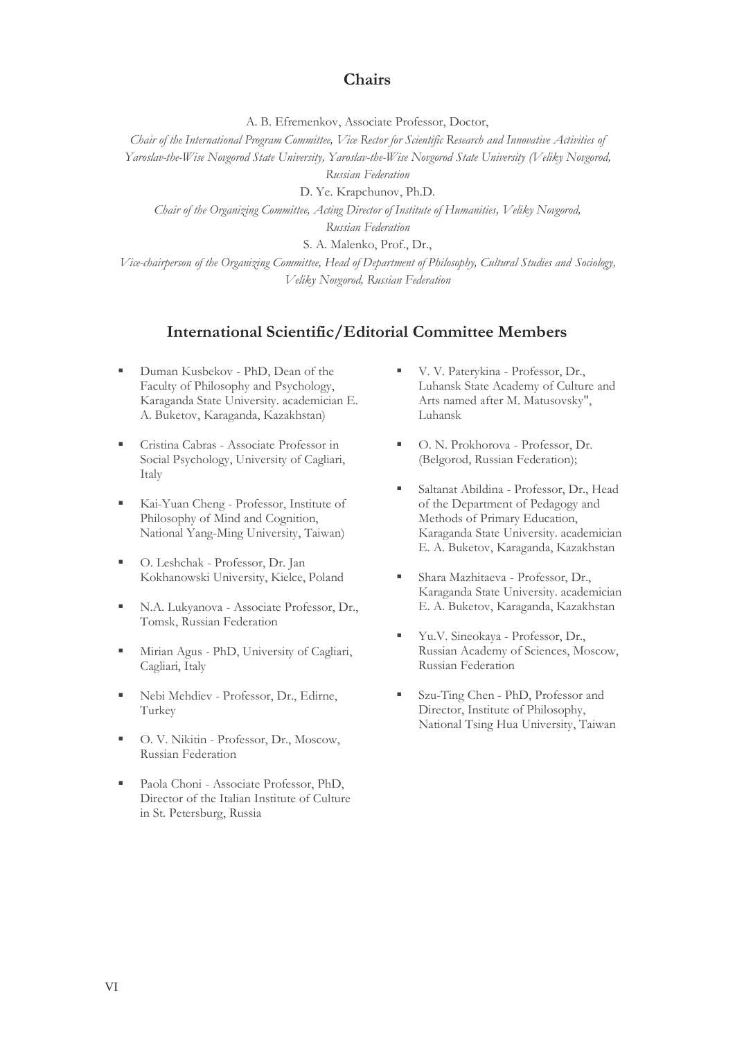## **Chairs**

A. B. Efremenkov, Associate Professor, Doctor,

*Chair of the International Program Committee, Vice Rector for Scientific Research and Innovative Activities of* 

*Yaroslav-the-Wise Novgorod State University, Yaroslav-the-Wise Novgorod State University (Veliky Novgorod,* 

*Russian Federation*

D. Ye. Krapchunov, Ph.D.

*Chair of the Organizing Committee, Acting Director of Institute of Humanities, Veliky Novgorod,* 

*Russian Federation*

S. A. Malenko, Prof., Dr.,

*Vice-chairperson of the Organizing Committee, Head of Department of Philosophy, Cultural Studies and Sociology, Veliky Novgorod, Russian Federation*

## **International Scientific/Editorial Committee Members**

- Duman Kusbekov PhD, Dean of the Faculty of Philosophy and Psychology, Karaganda State University. academician E. A. Buketov, Karaganda, Kazakhstan)
- Cristina Cabras Associate Professor in Social Psychology, University of Cagliari, Italy
- Kai-Yuan Cheng Professor, Institute of Philosophy of Mind and Cognition, National Yang-Ming University, Taiwan)
- O. Leshchak Professor, Dr. Jan Kokhanowski University, Kielce, Poland
- N.A. Lukyanova Associate Professor, Dr., Tomsk, Russian Federation
- Mirian Agus PhD, University of Cagliari, Cagliari, Italy
- Nebi Mehdiev Professor, Dr., Edirne, Turkey
- O. V. Nikitin Professor, Dr., Moscow, Russian Federation
- Paola Choni Associate Professor, PhD, Director of the Italian Institute of Culture in St. Petersburg, Russia
- V. V. Paterykina Professor, Dr., Luhansk State Academy of Culture and Arts named after M. Matusovsky", Luhansk
- O. N. Prokhorova Professor, Dr. (Belgorod, Russian Federation);
- Saltanat Abildina Professor, Dr., Head of the Department of Pedagogy and Methods of Primary Education, Karaganda State University. academician E. A. Buketov, Karaganda, Kazakhstan
- Shara Mazhitaeva Professor, Dr., Karaganda State University. academician E. A. Buketov, Karaganda, Kazakhstan
- Yu.V. Sineokaya Professor, Dr., Russian Academy of Sciences, Moscow, Russian Federation
- Szu-Ting Chen PhD, Professor and Director, Institute of Philosophy, National Tsing Hua University, Taiwan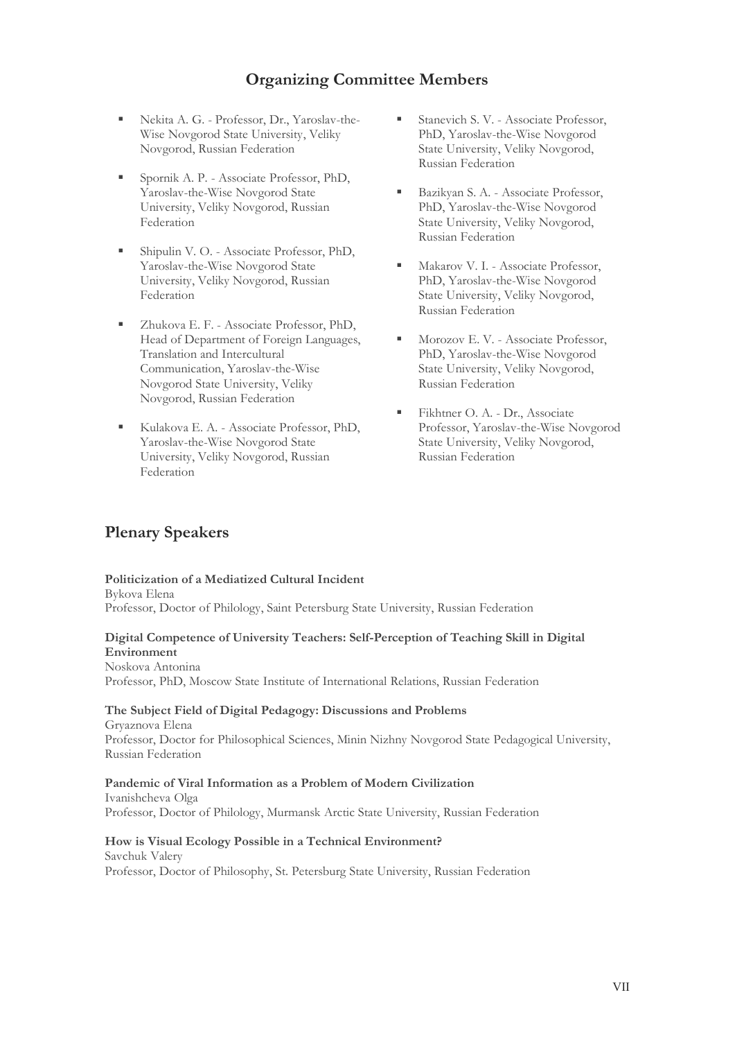## **Organizing Committee Members**

- Nekita A. G. Professor, Dr., Yaroslav-the-Wise Novgorod State University, Veliky Novgorod, Russian Federation
- Spornik A. P. Associate Professor, PhD, Yaroslav-the-Wise Novgorod State University, Veliky Novgorod, Russian Federation
- Shipulin V. O. Associate Professor, PhD, Yaroslav-the-Wise Novgorod State University, Veliky Novgorod, Russian Federation
- Zhukova E. F. Associate Professor, PhD, Head of Department of Foreign Languages, Translation and Intercultural Communication, Yaroslav-the-Wise Novgorod State University, Veliky Novgorod, Russian Federation
- Kulakova E. A. Associate Professor, PhD, Yaroslav-the-Wise Novgorod State University, Veliky Novgorod, Russian Federation
- Stanevich S. V. Associate Professor, PhD, Yaroslav-the-Wise Novgorod State University, Veliky Novgorod, Russian Federation
- Bazikyan S. A. Associate Professor, PhD, Yaroslav-the-Wise Novgorod State University, Veliky Novgorod, Russian Federation
- Makarov V. I. Associate Professor, PhD, Yaroslav-the-Wise Novgorod State University, Veliky Novgorod, Russian Federation
- Morozov E. V. Associate Professor, PhD, Yaroslav-the-Wise Novgorod State University, Veliky Novgorod, Russian Federation
- Fikhtner O. A. Dr., Associate Professor, Yaroslav-the-Wise Novgorod State University, Veliky Novgorod, Russian Federation

## **Plenary Speakers**

#### **Politicization of a Mediatized Cultural Incident**

Bykova Elena Professor, Doctor of Philology, Saint Petersburg State University, Russian Federation

#### **Digital Competence of University Teachers: Self-Perception of Teaching Skill in Digital Environment**

#### Noskova Antonina

Professor, PhD, Moscow State Institute of International Relations, Russian Federation

#### **The Subject Field of Digital Pedagogy: Discussions and Problems**

Gryaznova Elena Professor, Doctor for Philosophical Sciences, Minin Nizhny Novgorod State Pedagogical University, Russian Federation

#### **Pandemic of Viral Information as a Problem of Modern Civilization**

Ivanishcheva Olga Professor, Doctor of Philology, Murmansk Arctic State University, Russian Federation

#### **How is Visual Ecology Possible in a Technical Environment?**

Savchuk Valery Professor, Doctor of Philosophy, St. Petersburg State University, Russian Federation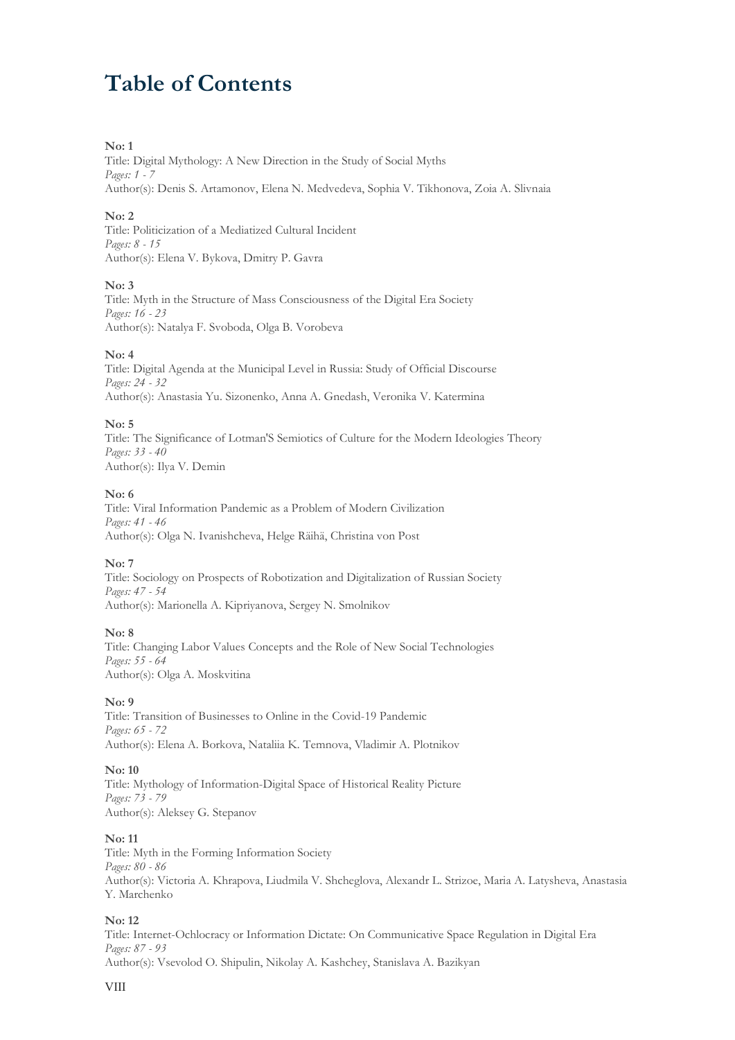## **Table of Contents**

#### **No: 1**

Title: Digital Mythology: A New Direction in the Study of Social Myths *Pages: 1 - 7* Author(s): Denis S. Artamonov, Elena N. Medvedeva, Sophia V. Tikhonova, Zoia A. Slivnaia

#### **No: 2**

Title: Politicization of a Mediatized Cultural Incident *Pages: 8 - 15* Author(s): Elena V. Bykova, Dmitry P. Gavra

#### **No: 3**

Title: Myth in the Structure of Mass Consciousness of the Digital Era Society *Pages: 16 - 23* Author(s): Natalya F. Svoboda, Olga B. Vorobeva

#### **No: 4**

Title: Digital Agenda at the Municipal Level in Russia: Study of Official Discourse *Pages: 24 - 32* Author(s): Anastasia Yu. Sizonenko, Anna A. Gnedash, Veronika V. Katermina

#### **No: 5**

Title: The Significance of Lotman'S Semiotics of Culture for the Modern Ideologies Theory *Pages: 33 - 40* Author(s): Ilya V. Demin

#### **No: 6**

Title: Viral Information Pandemic as a Problem of Modern Civilization *Pages: 41 - 46* Author(s): Olga N. Ivanishcheva, Helge Räihä, Christina von Post

#### **No: 7**

Title: Sociology on Prospects of Robotization and Digitalization of Russian Society *Pages: 47 - 54* Author(s): Marionella A. Kipriyanova, Sergey N. Smolnikov

#### **No: 8**

Title: Changing Labor Values Concepts and the Role of New Social Technologies *Pages: 55 - 64* Author(s): Olga A. Moskvitina

#### **No: 9**

Title: Transition of Businesses to Online in the Covid-19 Pandemic *Pages: 65 - 72* Author(s): Elena A. Borkova, Nataliia K. Temnova, Vladimir A. Plotnikov

#### **No: 10**

Title: Mythology of Information-Digital Space of Historical Reality Picture *Pages: 73 - 79* Author(s): Aleksey G. Stepanov

#### **No: 11**

Title: Myth in the Forming Information Society *Pages: 80 - 86* Author(s): Victoria A. Khrapova, Liudmila V. Shcheglova, Alexandr L. Strizoe, Maria A. Latysheva, Anastasia Y. Marchenko

#### **No: 12**

Title: Internet-Ochlocracy or Information Dictate: On Communicative Space Regulation in Digital Era *Pages: 87 - 93* Author(s): Vsevolod O. Shipulin, Nikolay A. Kashchey, Stanislava A. Bazikyan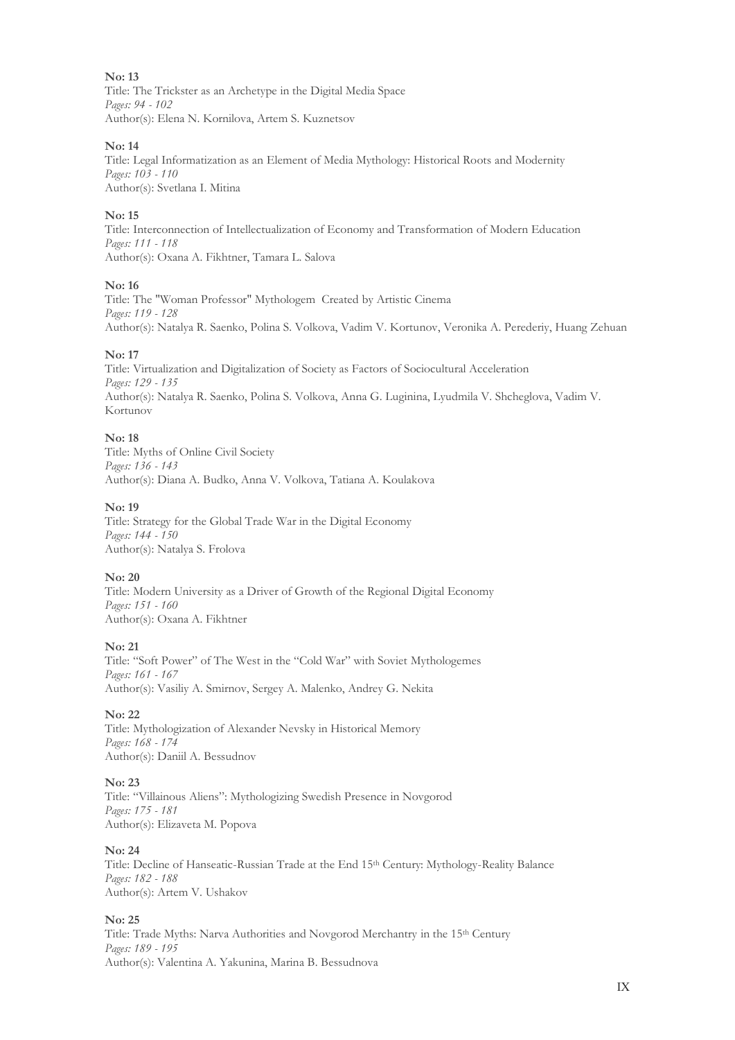Title: The Trickster as an Archetype in the Digital Media Spaсe *Pages: 94 - 102* Author(s): Elena N. Kornilova, Artem S. Kuznetsov

#### **No: 14**

Title: Legal Informatization as an Element of Media Mythology: Historical Roots and Modernity *Pages: 103 - 110* Author(s): Svetlana I. Mitina

#### **No: 15**

Title: Interconnection of Intellectualization of Economy and Transformation of Modern Education *Pages: 111 - 118* Author(s): Oxana A. Fikhtner, Tamara L. Salova

#### **No: 16**

Title: The "Woman Professor" Mythologem Created by Artistic Cinema *Pages: 119 - 128* Author(s): Natalya R. Saenko, Polina S. Volkova, Vadim V. Kortunov, Veronika A. Perederiy, Huang Zehuan

#### **No: 17**

Title: Virtualization and Digitalization of Society as Factors of Sociocultural Acceleration *Pages: 129 - 135* Author(s): Natalya R. Saenko, Polina S. Volkova, Anna G. Luginina, Lyudmila V. Shcheglova, Vadim V. Kortunov

#### **No: 18**

Title: Myths of Online Civil Society *Pages: 136 - 143* Author(s): Diana A. Budko, Anna V. Volkova, Tatiana A. Koulakova

#### **No: 19**

Title: Strategy for the Global Trade War in the Digital Economy *Pages: 144 - 150* Author(s): Natalya S. Frolova

#### **No: 20**

Title: Modern University as a Driver of Growth of the Regional Digital Economy *Pages: 151 - 160* Author(s): Oxana A. Fikhtner

#### **No: 21**

Title: "Soft Power" of The West in the "Cold War" with Soviet Mythologemes *Pages: 161 - 167* Author(s): Vasiliy A. Smirnov, Sergey A. Malenko, Andrey G. Nekita

#### **No: 22**

Title: Mythologization of Alexander Nevsky in Historical Memory *Pages: 168 - 174* Author(s): Daniil A. Bessudnov

#### **No: 23**

Title: "Villainous Aliens": Mythologizing Swedish Presence in Novgorod *Pages: 175 - 181* Author(s): Elizaveta M. Popova

#### **No: 24**

Title: Decline of Hanseatic-Russian Trade at the End 15th Century: Mythology-Reality Balance *Pages: 182 - 188* Author(s): Artem V. Ushakov

#### **No: 25**

Title: Trade Myths: Narva Authorities and Novgorod Merchantry in the 15th Century *Pages: 189 - 195* Author(s): Valentina A. Yakunina, Marina B. Bessudnova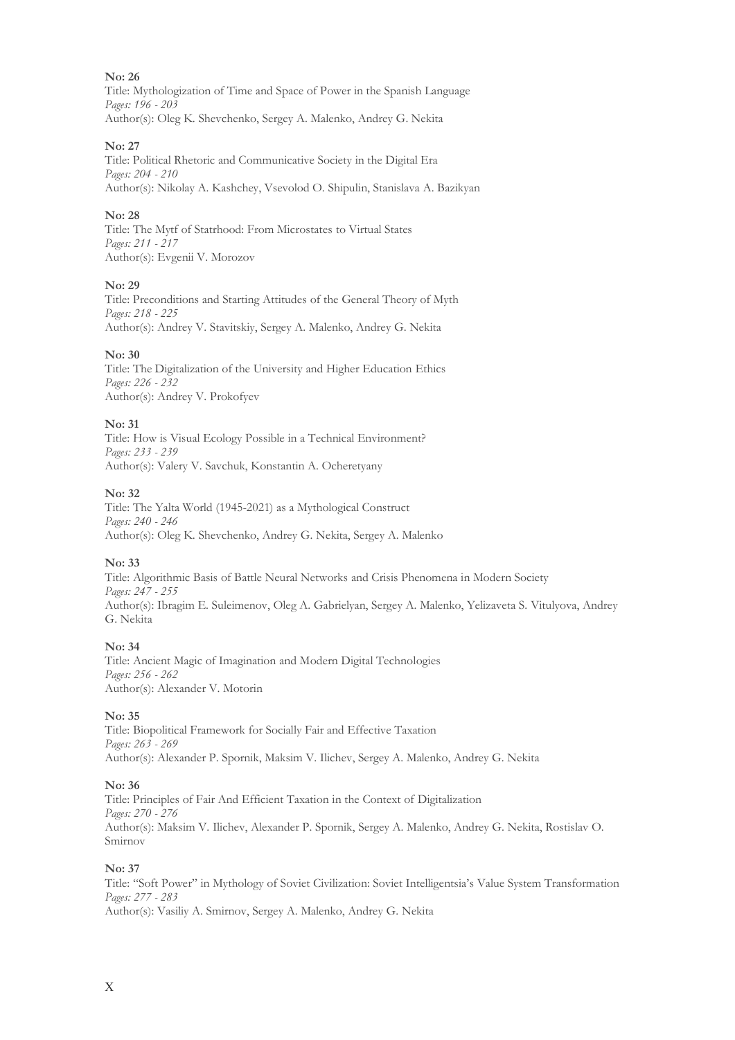#### **No: 26** Title: Mythologization of Time and Space of Power in the Spanish Language *Pages: 196 - 203* Author(s): Oleg K. Shevchenko, Sergey A. Malenko, Andrey G. Nekita

### **No: 27**

Title: Political Rhetoric and Communicative Society in the Digital Era *Pages: 204 - 210* Author(s): Nikolay A. Kashchey, Vsevolod O. Shipulin, Stanislava A. Bazikyan

## **No: 28**

Title: The Mytf of Statrhood: From Microstates to Virtual States *Pages: 211 - 217* Author(s): Evgenii V. Morozov

## **No: 29**

Title: Preconditions and Starting Attitudes of the General Theory of Myth *Pages: 218 - 225* Author(s): Andrey V. Stavitskiy, Sergey A. Malenko, Andrey G. Nekita

#### **No: 30**

Title: The Digitalization of the University and Higher Education Ethics *Pages: 226 - 232* Author(s): Andrey V. Prokofyev

#### **No: 31**

Title: How is Visual Ecology Possible in a Technical Environment? *Pages: 233 - 239* Author(s): Valery V. Savchuk, Konstantin A. Ocheretyany

#### **No: 32**

Title: The Yalta World (1945-2021) as a Mythological Construct *Pages: 240 - 246* Author(s): Oleg K. Shevchenko, Andrey G. Nekita, Sergey A. Malenko

#### **No: 33**

Title: Algorithmic Basis of Battle Neural Networks and Crisis Phenomena in Modern Society *Pages: 247 - 255* Author(s): Ibragim E. Suleimenov, Oleg A. Gabrielyan, Sergey A. Malenko, Yelizaveta S. Vitulyova, Andrey G. Nekita

#### **No: 34**

Title: Ancient Magic of Imagination and Modern Digital Technologies *Pages: 256 - 262* Author(s): Alexander V. Motorin

#### **No: 35**

Title: Biopolitical Framework for Socially Fair and Effective Taxation *Pages: 263 - 269* Author(s): Alexander P. Spornik, Maksim V. Ilichev, Sergey A. Malenko, Andrey G. Nekita

#### **No: 36**

Title: Principles of Fair And Efficient Taxation in the Context of Digitalization *Pages: 270 - 276* Author(s): Maksim V. Ilichev, Alexander P. Spornik, Sergey A. Malenko, Andrey G. Nekita, Rostislav O. Smirnov

#### **No: 37**

Title: "Soft Power" in Mythology of Soviet Civilization: Soviet Intelligentsia's Value System Transformation *Pages: 277 - 283* Author(s): Vasiliy A. Smirnov, Sergey A. Malenko, Andrey G. Nekita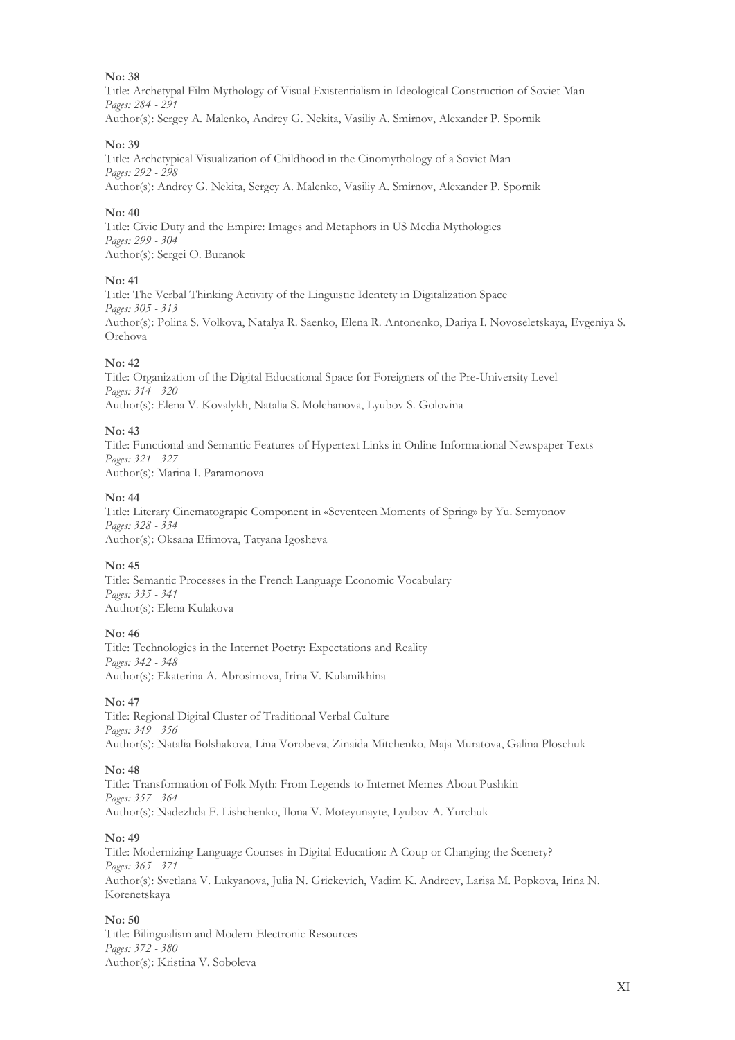Title: Archetypal Film Mythology of Visual Existentialism in Ideological Construction of Soviet Man *Pages: 284 - 291* Author(s): Sergey A. Malenko, Andrey G. Nekita, Vasiliy A. Smirnov, Alexander P. Spornik

#### **No: 39**

Title: Archetypical Visualization of Childhood in the Cinomythology of a Soviet Man *Pages: 292 - 298* Author(s): Andrey G. Nekita, Sergey A. Malenko, Vasiliy A. Smirnov, Alexander P. Spornik

#### **No: 40**

Title: Civic Duty and the Empire: Images and Metaphors in US Media Mythologies *Pages: 299 - 304* Author(s): Sergei O. Buranok

#### **No: 41**

Title: The Verbal Thinking Activity of the Linguistic Identety in Digitalization Space *Pages: 305 - 313* Author(s): Polina S. Volkova, Natalya R. Saenko, Elena R. Antonenko, Dariya I. Novoseletskaya, Evgeniya S. Orehova

#### **No: 42**

Title: Organization of the Digital Educational Space for Foreigners of the Pre-University Level *Pages: 314 - 320* Author(s): Elena V. Kovalykh, Natalia S. Molchanova, Lyubov S. Golovina

#### **No: 43**

Title: Functional and Semantic Features of Hypertext Links in Online Informational Newspaper Texts *Pages: 321 - 327* Author(s): Marina I. Paramonova

#### **No: 44**

Title: Literary Cinematograpic Component in «Seventeen Moments of Spring» by Yu. Semyonov *Pages: 328 - 334* Author(s): Oksana Efimova, Tatyana Igosheva

#### **No: 45**

Title: Semantic Processes in the French Language Economic Vocabulary *Pages: 335 - 341* Author(s): Elena Kulakova

#### **No: 46**

Title: Technologies in the Internet Poetry: Expectations and Reality *Pages: 342 - 348* Author(s): Ekaterina A. Abrosimova, Irina V. Kulamikhina

#### **No: 47**

Title: Regional Digital Cluster of Traditional Verbal Culture *Pages: 349 - 356* Author(s): Natalia Bolshakova, Lina Vorobeva, Zinaida Mitchenko, Maja Muratova, Galina Ploschuk

#### **No: 48**

Title: Transformation of Folk Myth: From Legends to Internet Memes About Pushkin *Pages: 357 - 364* Author(s): Nadezhda F. Lishchenko, Ilona V. Moteyunayte, Lyubov A. Yurchuk

#### **No: 49**

Title: Modernizing Language Courses in Digital Education: A Coup or Changing the Scenery? *Pages: 365 - 371* Author(s): Svetlana V. Lukyanova, Julia N. Grickevich, Vadim K. Andreev, Larisa M. Popkova, Irina N. Korenetskaya

#### **No: 50**

Title: Bilingualism and Modern Electronic Resourсes *Pages: 372 - 380* Author(s): Kristina V. Soboleva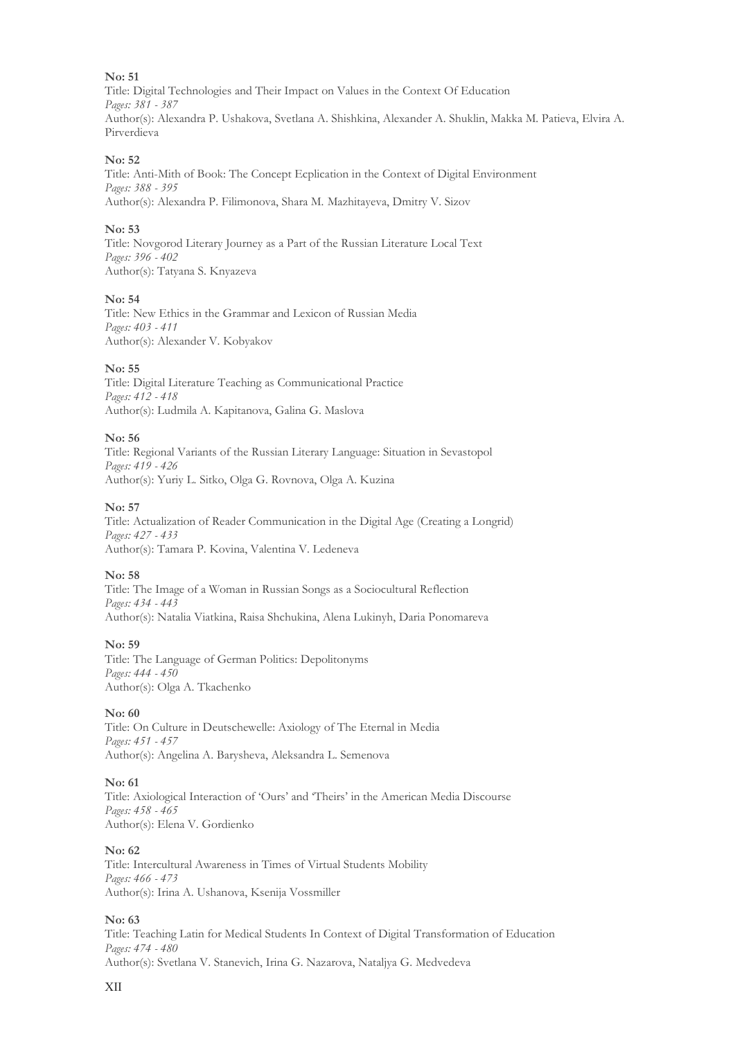Title: Digital Technologies and Their Impact on Values in the Context Of Education *Pages: 381 - 387* Author(s): Alexandra P. Ushakova, Svetlana A. Shishkina, Alexander A. Shuklin, Makka M. Patieva, Elvira A. Pirverdieva

#### **No: 52**

Title: Anti-Mith of Book: The Concept Ecplication in the Context of Digital Environment *Pages: 388 - 395* Author(s): Alexandra P. Filimonova, Shara M. Mazhitayeva, Dmitry V. Sizov

#### **No: 53**

Title: Novgorod Literary Journey as a Part of the Russian Literature Local Text *Pages: 396 - 402* Author(s): Tatyana S. Knyazeva

#### **No: 54**

Title: New Ethics in the Grammar and Lexicon of Russian Media *Pages: 403 - 411* Author(s): Alexander V. Kobyakov

#### **No: 55**

Title: Digital Literature Teaching as Communicational Practice *Pages: 412 - 418* Author(s): Ludmila A. Kapitanova, Galina G. Maslova

#### **No: 56**

Title: Regional Variants of the Russian Literary Language: Situation in Sevastopol *Pages: 419 - 426* Author(s): Yuriy L. Sitko, Olga G. Rovnova, Olga A. Kuzina

#### **No: 57**

Title: Actualization of Reader Communication in the Digital Age (Creating a Longrid) *Pages: 427 - 433* Author(s): Tamara P. Kovina, Valentina V. Ledeneva

#### **No: 58**

Title: The Image of a Woman in Russian Songs as a Sociocultural Reflection *Pages: 434 - 443* Author(s): Natalia Viatkina, Raisa Shchukina, Alena Lukinyh, Daria Ponomareva

#### **No: 59**

Title: The Language of German Politics: Depolitonyms *Pages: 444 - 450* Author(s): Olga A. Tkachenko

#### **No: 60**

Title: On Culture in Deutschewelle: Axiology of The Eternal in Media *Pages: 451 - 457* Author(s): Angelina A. Barysheva, Aleksandra L. Semenova

#### **No: 61**

Title: Axiological Interaction of 'Ours' and 'Theirs' in the American Media Discourse *Pages: 458 - 465* Author(s): Elena V. Gordienko

#### **No: 62**

Title: Intercultural Awareness in Times of Virtual Students Mobility *Pages: 466 - 473* Author(s): Irina A. Ushanova, Ksenija Vossmiller

#### **No: 63**

Title: Teaching Latin for Medical Students In Context of Digital Transformation of Education *Pages: 474 - 480* Author(s): Svetlana V. Stanevich, Irina G. Nazarova, Nataljya G. Medvedeva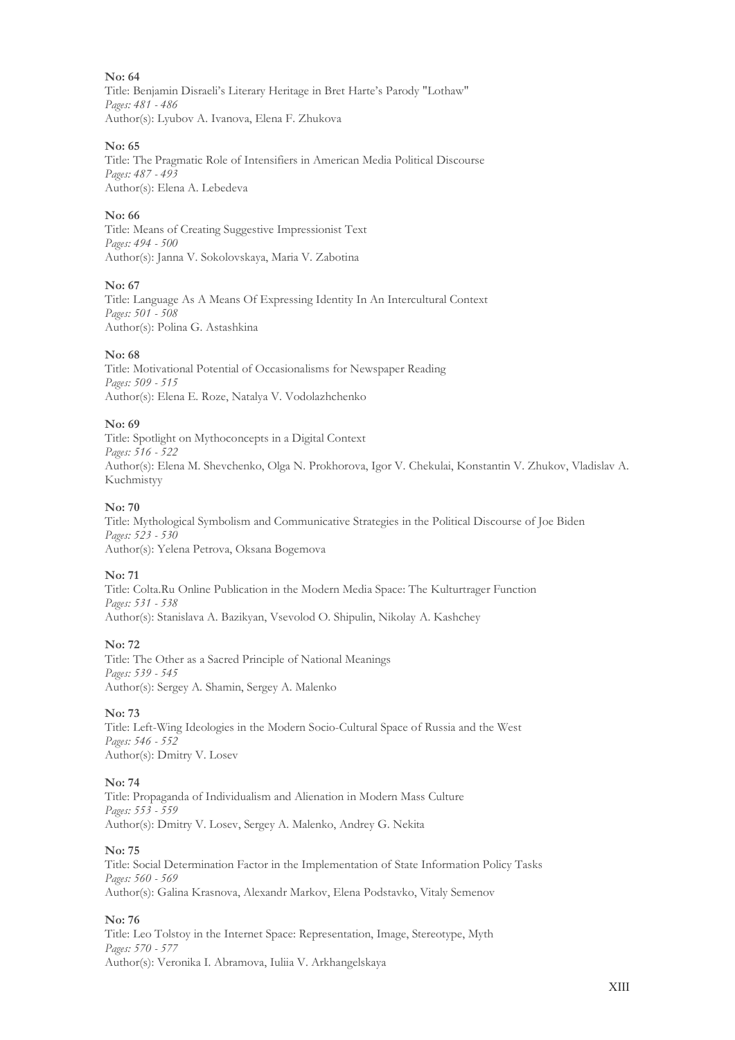Title: Benjamin Disraeli's Literary Heritage in Bret Harte's Parody "Lothaw" *Pages: 481 - 486* Author(s): Lyubov A. Ivanova, Elena F. Zhukova

#### **No: 65**

Title: The Pragmatic Role of Intensifiers in American Media Political Discourse *Pages: 487 - 493* Author(s): Elena A. Lebedeva

#### **No: 66**

Title: Means of Creating Suggestive Impressionist Text *Pages: 494 - 500* Author(s): Janna V. Sokolovskaya, Maria V. Zabotina

#### **No: 67**

Title: Language As A Means Of Expressing Identity In An Intercultural Context *Pages: 501 - 508* Author(s): Polina G. Astashkina

#### **No: 68**

Title: Motivational Potential of Occasionalisms for Newspaper Reading *Pages: 509 - 515* Author(s): Elena E. Roze, Natalya V. Vodolazhchenko

#### **No: 69**

Title: Spotlight on Mythoconcepts in a Digital Context *Pages: 516 - 522* Author(s): Elena M. Shevchenko, Olga N. Prokhorova, Igor V. Chekulai, Konstantin V. Zhukov, Vladislav A. Kuchmistyy

#### **No: 70**

Title: Mythological Symbolism and Communicative Strategies in the Political Discourse of Joe Biden *Pages: 523 - 530* Author(s): Yelena Petrova, Oksana Bogemova

#### **No: 71**

Title: Colta.Ru Online Publication in the Modern Media Space: The Kulturtrager Function *Pages: 531 - 538* Author(s): Stanislava A. Bazikyan, Vsevolod O. Shipulin, Nikolay A. Kashchey

#### **No: 72**

Title: Тhe Other as a Sacred Principle of National Meanings *Pages: 539 - 545* Author(s): Sergey A. Shamin, Sergey A. Malenko

**No: 73**

Title: Left-Wing Ideologies in the Modern Socio-Cultural Space of Russia and the West *Pages: 546 - 552* Author(s): Dmitry V. Losev

#### **No: 74**

Title: Propaganda of Individualism and Alienation in Modern Mass Culture *Pages: 553 - 559* Author(s): Dmitry V. Losev, Sergey A. Malenko, Andrey G. Nekita

#### **No: 75**

Title: Social Determination Factor in the Implementation of State Information Policy Tasks *Pages: 560 - 569* Author(s): Galina Krasnova, Alexandr Markov, Elena Podstavko, Vitaly Semenov

#### **No: 76**

Title: Leo Tolstoy in the Internet Space: Representation, Image, Stereotype, Myth *Pages: 570 - 577* Author(s): Veronika I. Abramova, Iuliia V. Arkhangelskaya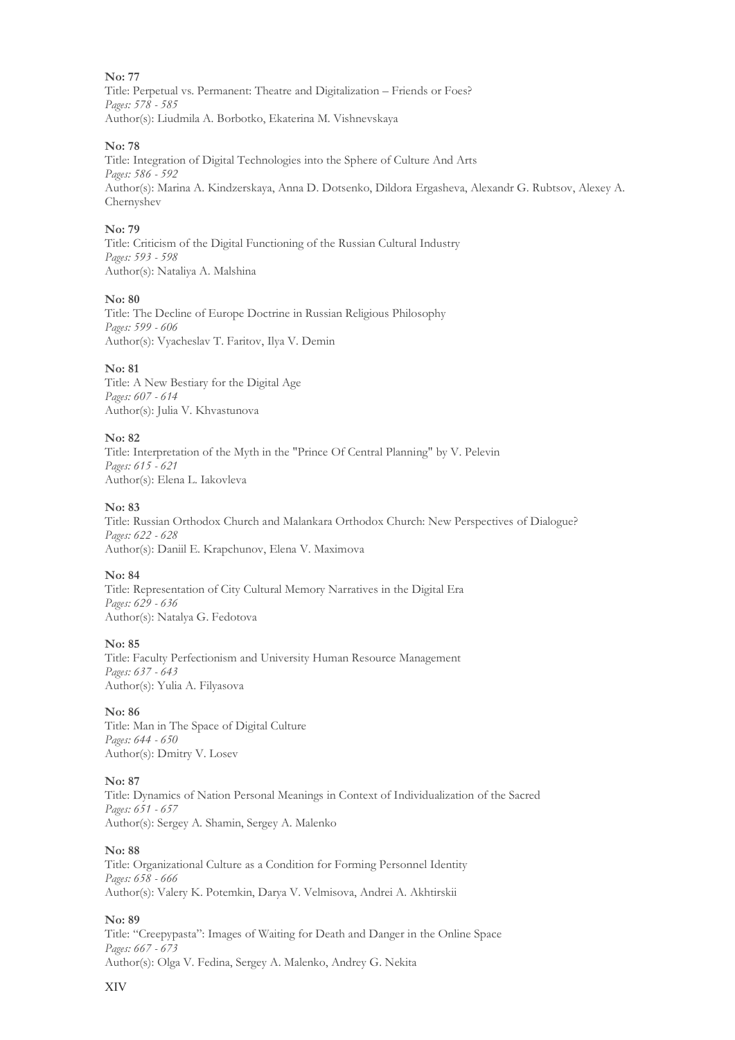Title: Perpetual vs. Permanent: Theatre and Digitalization – Friends or Foes? *Pages: 578 - 585* Author(s): Liudmila A. Borbotko, Ekaterina M. Vishnevskaya

#### **No: 78**

Title: Integration of Digital Technologies into the Sphere of Culture And Arts *Pages: 586 - 592* Author(s): Marina A. Kindzerskaya, Anna D. Dotsenko, Dildora Ergasheva, Alexandr G. Rubtsov, Alexey A. Chernyshev

#### **No: 79**

Title: Criticism of the Digital Functioning of the Russian Cultural Industry *Pages: 593 - 598* Author(s): Nataliya A. Malshina

#### **No: 80**

Title: The Decline of Europe Doctrine in Russian Religious Philosophy *Pages: 599 - 606* Author(s): Vyacheslav T. Faritov, Ilya V. Demin

#### **No: 81**

Title: A New Bestiary for the Digital Age *Pages: 607 - 614* Author(s): Julia V. Khvastunova

#### **No: 82**

Title: Interpretation of the Myth in the "Prince Of Central Planning" by V. Pelevin *Pages: 615 - 621* Author(s): Elena L. Iakovleva

#### **No: 83**

Title: Russian Orthodox Church and Malankara Orthodox Church: New Perspectives of Dialogue? *Pages: 622 - 628* Author(s): Daniil E. Krapchunov, Elena V. Maximova

#### **No: 84**

Title: Representation of City Cultural Memory Narratives in the Digital Era *Pages: 629 - 636* Author(s): Natalya G. Fedotova

#### **No: 85**

Title: Faculty Perfectionism and University Human Resource Management *Pages: 637 - 643* Author(s): Yulia A. Filyasova

#### **No: 86**

Title: Man in The Space of Digital Culture *Pages: 644 - 650* Author(s): Dmitry V. Losev

#### **No: 87**

Title: Dynamics of Nation Personal Meanings in Context of Individualization of the Sacred *Pages: 651 - 657* Author(s): Sergey A. Shamin, Sergey A. Malenko

#### **No: 88**

Title: Organizational Culture as a Condition for Forming Personnel Identity *Pages: 658 - 666* Author(s): Valery K. Potemkin, Darya V. Velmisova, Andrei A. Akhtirskii

#### **No: 89**

Title: "Creepypasta": Images of Waiting for Death and Danger in the Online Space *Pages: 667 - 673* Author(s): Olga V. Fedina, Sergey A. Malenko, Andrey G. Nekita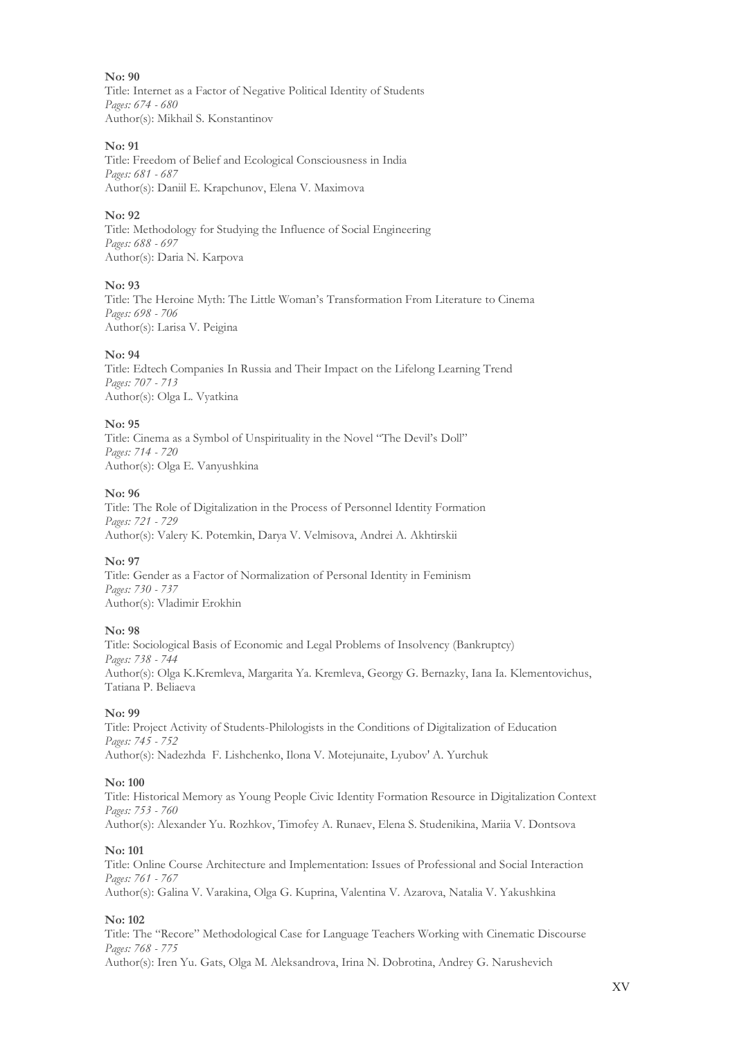**No: 90** Title: Internet as a Factor of Negative Political Identity of Students *Pages: 674 - 680* Author(s): Mikhail S. Konstantinov

#### **No: 91**

Title: Freedom of Belief and Ecological Consciousness in India *Pages: 681 - 687* Author(s): Daniil E. Krapchunov, Elena V. Maximova

#### **No: 92**

Title: Methodology for Studying the Influence of Social Engineering *Pages: 688 - 697* Author(s): Daria N. Karpova

#### **No: 93**

Title: The Heroine Myth: The Little Woman's Transformation From Literature to Cinema *Pages: 698 - 706* Author(s): Larisa V. Peigina

#### **No: 94**

Title: Edtech Companies In Russia and Their Impact on the Lifelong Learning Trend *Pages: 707 - 713* Author(s): Olga L. Vyatkina

#### **No: 95**

Title: Cinema as a Symbol of Unspirituality in the Novel "The Devil's Doll" *Pages: 714 - 720* Author(s): Olga E. Vanyushkina

#### **No: 96**

Title: The Role of Digitalization in the Process of Personnel Identity Formation *Pages: 721 - 729* Author(s): Valery K. Potemkin, Darya V. Velmisova, Andrei A. Akhtirskii

#### **No: 97**

Title: Gender as a Factor of Normalization of Personal Identity in Feminism *Pages: 730 - 737* Author(s): Vladimir Erokhin

#### **No: 98**

Title: Sociological Basis of Economic and Legal Problems of Insolvency (Bankruptcy) *Pages: 738 - 744* Author(s): Olga K.Kremleva, Margarita Ya. Kremleva, Georgy G. Bernazky, Iana Ia. Klementovichus, Tatiana P. Beliaeva

#### **No: 99**

Title: Project Activity of Students-Philologists in the Conditions of Digitalization of Education *Pages: 745 - 752* Author(s): Nadezhda F. Lishchenko, Ilona V. Motejunaite, Lyubov' A. Yurchuk

#### **No: 100**

Title: Historical Memory as Young People Civic Identity Formation Resource in Digitalization Context *Pages: 753 - 760* Author(s): Alexander Yu. Rozhkov, Timofey A. Runaev, Elena S. Studenikina, Mariia V. Dontsova

#### **No: 101**

Title: Online Course Architecture and Implementation: Issues of Professional and Social Interaction *Pages: 761 - 767* Author(s): Galina V. Varakina, Olga G. Kuprina, Valentina V. Azarova, Natalia V. Yakushkina

#### **No: 102**

Title: The "Recore" Methodological Case for Language Teachers Working with Cinematic Discourse *Pages: 768 - 775*

Author(s): Iren Yu. Gats, Olga M. Aleksandrova, Irina N. Dobrotina, Andrey G. Narushevich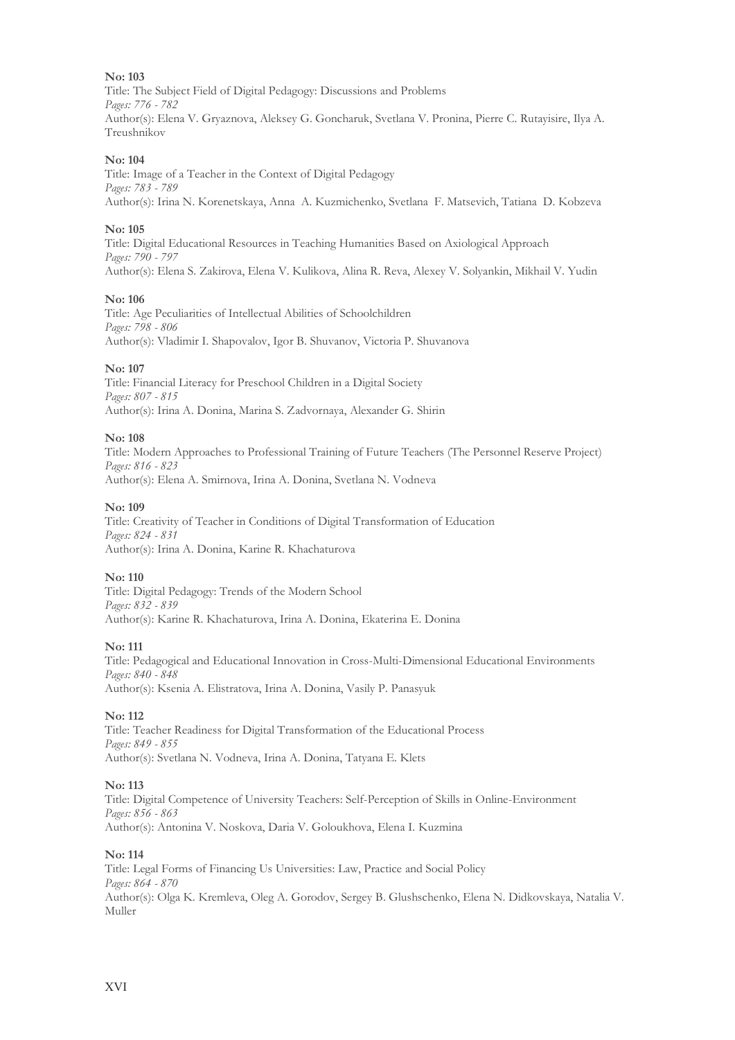Title: The Subject Field of Digital Pedagogy: Discussions and Problems *Pages: 776 - 782* Author(s): Elena V. Gryaznova, Aleksey G. Goncharuk, Svetlana V. Pronina, Pierre C. Rutayisire, Ilya A. Treushnikov

#### **No: 104**

Title: Image of a Teacher in the Context of Digital Pedagogy *Pages: 783 - 789* Author(s): Irina N. Korenetskaya, Anna A. Kuzmichenko, Svetlana F. Matsevich, Tatiana D. Kobzeva

#### **No: 105**

Title: Digital Educational Resources in Teaching Humanities Based on Axiological Approach *Pages: 790 - 797* Author(s): Elena S. Zakirova, Elena V. Kulikova, Alina R. Reva, Alexey V. Solyankin, Mikhail V. Yudin

#### **No: 106**

Title: Age Peculiarities of Intellectual Abilities of Schoolchildren *Pages: 798 - 806* Author(s): Vladimir I. Shapovalov, Igor B. Shuvanov, Victoria P. Shuvanova

#### **No: 107**

Title: Financial Literacy for Preschool Children in a Digital Society *Pages: 807 - 815* Author(s): Irina A. Donina, Marina S. Zadvornaya, Alexander G. Shirin

#### **No: 108**

Title: Modern Approaches to Professional Training of Future Teachers (The Personnel Reserve Project) *Pages: 816 - 823* Author(s): Elena A. Smirnova, Irina A. Donina, Svetlana N. Vodneva

#### **No: 109**

Title: Creativity of Teacher in Conditions of Digital Transformation of Education *Pages: 824 - 831* Author(s): Irina A. Donina, Karine R. Khachaturova

#### **No: 110**

Title: Digital Pedagogy: Trends of the Modern School *Pages: 832 - 839* Author(s): Karine R. Khachaturova, Irina A. Donina, Еkaterina E. Donina

#### **No: 111**

Title: Pedagogical and Educational Innovation in Cross-Multi-Dimensional Educational Environments *Pages: 840 - 848* Author(s): Ksenia A. Elistratova, Irina A. Donina, Vasily P. Panasyuk

#### **No: 112**

Title: Teacher Readiness for Digital Transformation of the Educational Process *Pages: 849 - 855* Author(s): Svetlana N. Vodneva, Irina A. Donina, Tatyana E. Klets

#### **No: 113**

Title: Digital Competence of University Teachers: Self-Perception of Skills in Online-Environment *Pages: 856 - 863* Author(s): Antonina V. Noskova, Daria V. Goloukhova, Elena I. Kuzmina

#### **No: 114**

Title: Legal Forms of Financing Us Universities: Law, Practice and Social Policy *Pages: 864 - 870* Author(s): Olga K. Kremleva, Oleg A. Gorodov, Sergey B. Glushschenko, Elena N. Didkovskaya, Natalia V. Muller